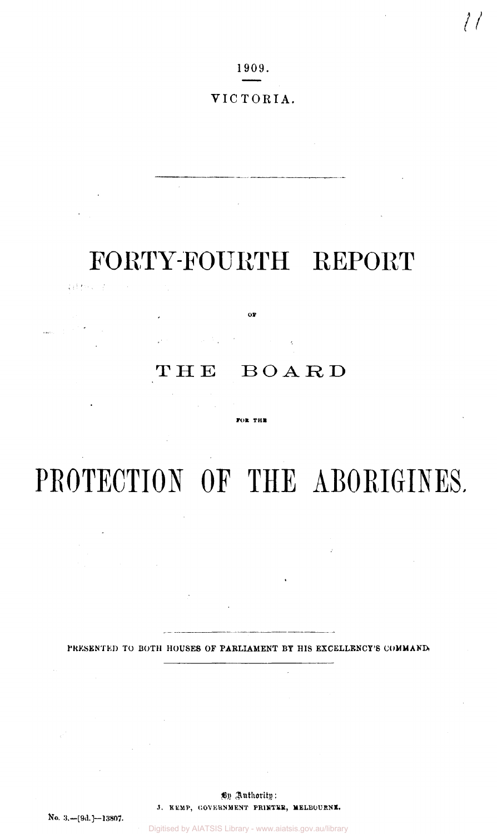1909.

## VICTORIA.

## FORTY-FOURTH REPORT

Patters of

 $\mathbf{or}$  $\label{eq:2.1} \left\langle \mu \right\rangle \left\langle \frac{1}{4} \right\rangle = \left\langle \frac{1}{4} \right\rangle \left\langle \frac{1}{4} \right\rangle = \left\langle \frac{1}{4} \right\rangle \left\langle \frac{1}{4} \right\rangle = \left\langle \frac{1}{4} \right\rangle$ 

## THE BOARD

**FOR THE** 

# PROTECTION OF THE ABORIGINES.

PRESENTED TO BOTH HOUSES OF PARLIAMENT BY HIS EXCELLENCY'S COMMAND.

 $\sim$ 

By Authority: *3.* **KEMP, GOVERNMENT PR1NTER, MELBOURNE.**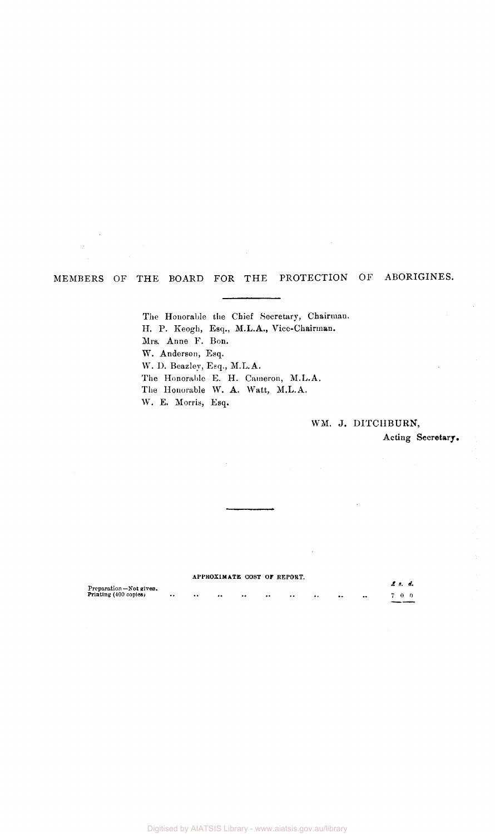## MEMBERS OF THE BOARD FOR THE PROTECTION OF ABORIGINES.

The Honorable the Chief Secretary, Chairman. H. P. Keogh, Esq., M.L.A., Vice-Chairman. Mrs. Anne F. Bon. W. Anderson, Esq. *W.* D. Beazley, Esq., M.L.A. The Honorable E. H. Cameron, M.L.A. The Honorable W. A. Watt, M.L.A. W. E. Morris, Esq.

### WM. J. DITCHBURN,

Acting **Secretary.** 

|                        |                      | APPROXIMATE COST OF REPORT. |                      |          |         |     |                  |              |          |  |
|------------------------|----------------------|-----------------------------|----------------------|----------|---------|-----|------------------|--------------|----------|--|
| Preparation-Not given. |                      |                             |                      |          |         |     |                  |              | .Е. п. – |  |
| Printing (400 copies)  | <br>$\bullet\bullet$ | $\cdot\cdot$                | $\ddot{\phantom{0}}$ | $\cdots$ | $\cdot$ | . . | $\bullet\bullet$ | $^{\bullet}$ | 700      |  |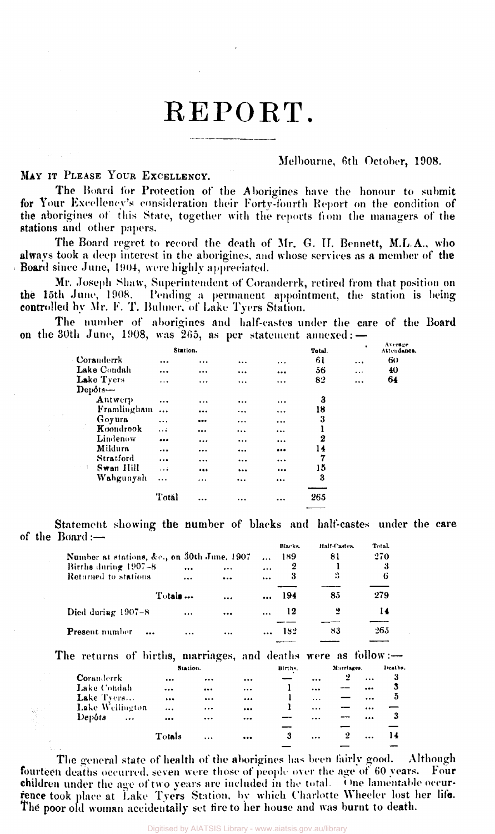## REPORT.

#### Melbourne, 6th October, 1908.

### MAY IT PLEASE YOUR EXCELLENCY.

The Board for Protection of the Aborigines have the honour to submit for Your Excellency's consideration their Forty-fourth Report on the condition of the aborigines of this State, together with the reports from the managers of the stations and other papers.

The Board regret to record the death of Mr. G. H. Bennett, M.L.A., who always took a deep interest in the aborigines, and whose services as a member of the Board since June, 1904, were highly appreciated.

Mr. Joseph Shaw, Superintendent of Coranderrk, retired from that position on thé 15th June, 1908. Pending a permanent appointment, the station is being controlled by Mr. F. T. Buhner, of Lake Tyers Station.

The number of aborigines and half-castes under the care of the Board on the 30th June, 1908, was 265, as per statement annexed: —

|                                         | Station.  |           |          |                         | Total.           | ٠        | Average<br>Attendance. |
|-----------------------------------------|-----------|-----------|----------|-------------------------|------------------|----------|------------------------|
| Coranderrk                              |           | $\cdots$  | $\cdots$ |                         | 61               | $\cdots$ | 60                     |
| Lake Condah                             |           |           |          |                         | 56               | $\cdots$ | 40                     |
| Lake Tyers                              | .         |           | $\cdots$ |                         | 82               | $\cdots$ | 64                     |
| $\mathbf{Dep\delta t s}$ —              |           |           |          |                         |                  |          |                        |
| Antwerp                                 | $\cdots$  | $\ddotsc$ |          |                         | 3                |          |                        |
| Framlingham                             | $\ddotsc$ |           |          | $\cdots$                | 18               |          |                        |
| Goyura                                  |           |           |          | $\cdots$                | 3                |          |                        |
| $\mathcal{L}_{\text{max}}$<br>Koondrook | .         |           |          | $\cdots$                | ı                |          |                        |
| Lindenow                                |           |           |          | $\cdots$                | $\boldsymbol{2}$ |          |                        |
| Mildura                                 | $\cdots$  |           | $\cdots$ |                         | 14               |          |                        |
| Stratford                               | $\cdots$  | $\cdots$  | $\cdots$ | $\cdots$                | 7                |          |                        |
| Swan Hill<br>十一里                        | $\ddotsc$ |           |          | $\bullet\bullet\bullet$ | 15               |          |                        |
| Wahgunyah                               |           |           | $\cdots$ |                         | 3                |          |                        |
|                                         | Total     |           | $\cdots$ | $\cdots$                | 265              |          |                        |
|                                         |           |           |          |                         | _______          |          |                        |

Statement showing the number of blacks and half-castes under the care of the Board :—

|                                             |           |           |           | Blacks. | Half-Castes | Total. |
|---------------------------------------------|-----------|-----------|-----------|---------|-------------|--------|
| Number at stations, &c., on 30th June, 1907 |           |           |           | 189     | 81          | 270    |
| Births during $1907-8$                      |           | $\cdots$  |           | 2       |             | 3      |
| Returned to stations                        | $\cdots$  | $\cdots$  | $\cdots$  | 3       | 2           | 6      |
| Totals                                      |           | $\ddotsc$ | $\ddotsc$ | 194     | 85          | 279    |
| Died during $1907-8$                        |           |           | $\cdots$  | 12      | 2           | 14     |
| <b>Present number</b>                       | $\ddotsc$ |           | $\cdots$  | 182     | 83          | 265    |

The returns of births, marriages, and deaths were as follow:—

|                     | Station.                |                         |                         | Birth. |           | Marriages. |           | lleaths. |
|---------------------|-------------------------|-------------------------|-------------------------|--------|-----------|------------|-----------|----------|
| <b>Coranderrk</b>   | $\cdots$                |                         | $\cdots$                |        | $\cdots$  | 2          | $\ddotsc$ | -3       |
| Lake Condah         |                         | $\bullet\bullet\bullet$ | $\cdots$                |        |           |            |           | 3        |
| Lake Tvers          | $\cdots$                |                         |                         |        | $\ddotsc$ |            | $\cdots$  | ō        |
| Lake Wellington     | $\cdots$                |                         |                         |        | $\cdots$  |            |           |          |
| Depôts<br>$\ddotsc$ | $\bullet\bullet\bullet$ |                         | $\bullet\bullet\bullet$ |        |           |            | $\cdots$  | 3        |
|                     |                         |                         |                         |        |           |            |           |          |
|                     | Totals                  | $\cdots$                | $\cdots$                | 3      | $\cdots$  | 2          | $\ddotsc$ | 14       |
|                     |                         |                         |                         |        |           |            |           |          |

The general state of health of the aborigines has been fairly good. Although fourteen deaths occurred, seven were those of people over the age of 60 years. Four **children** under the age of two years are included in the total. One lamentable occurrence took place at Lake Tyers Station, by which Charlotte Wheeler lost her life. The poor old woman accidentally set tire to her house and was burnt to death.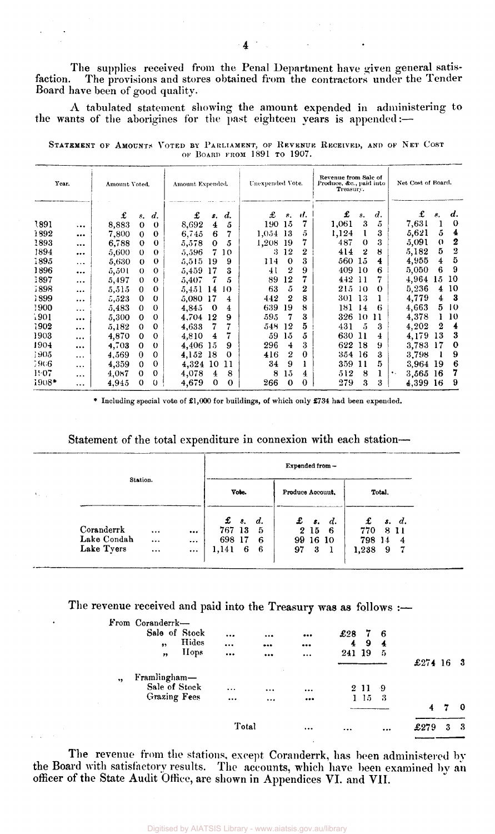The supplies received from the Penal Department have given general satisfaction. The provisions and stores obtained from the contractors under the Tender Board have been of good quality.

A tabulated statement showing the amount expended in administering to the wants of the aborigines for the past eighteen years is appended:—

STATEMENT OF AMOUNTS VOTED BY PARLIAMENT, OF REVENUE RECEIVED, AND OF NET COST OF BOARD FROM 1891 TO 1907.

| Year. | Amount Voted. |       | Amount Expended. |                    |       | Unexpended Vote. |                    |          | Revenue from Sale of<br>Produce, &c., paid into<br>Treasury. |                  |       |          | Net Cost of Board.  |             |       |              |                  |
|-------|---------------|-------|------------------|--------------------|-------|------------------|--------------------|----------|--------------------------------------------------------------|------------------|-------|----------|---------------------|-------------|-------|--------------|------------------|
|       |               | £     | 8.               | $\boldsymbol{d}$ . | £     | s.               | $\boldsymbol{d}$ . | £        | s.                                                           | J.               | £     | s.       | $\boldsymbol{d}$ .  |             | £     | 8.           | d.               |
| 1891  | $\ddotsc$     | 8,883 | $\theta$         | $\theta$           | 8,692 | 4                | 5                  | 190      | 15                                                           | 7                | 1,061 | 3        | $\ddot{\mathbf{5}}$ |             | 7,631 | 1            | $\mathbf 0$      |
| 1892  |               | 7,800 | $\Omega$         | $\bf{0}$           | 6,745 | 6                | 7                  | 1,054 13 |                                                              | 5                | 1,124 |          | 3                   |             | 5,621 | 5            | 4                |
| 1893  | $\cdots$      | 6,788 | $\bf{0}$         | $\theta$           | 5,578 | $\bf{0}$         | 5                  | 1,208    | -19                                                          |                  | 487   | $\bf{0}$ | 3                   |             | 5,091 | $\mathbf{O}$ | 2                |
| 1894  |               | 5,600 | $\Omega$         | $\Omega$           | 5,596 | 7                | 10                 | 3        | 12                                                           | 2                | 414   | 2        | 8                   |             | 5,182 | 5            | $\boldsymbol{2}$ |
| 1895  | $\cdots$      | 5,630 | $\bf{0}$         | $\theta$           | 5,515 | 19               | 9                  | 114      | $\bf{0}$                                                     | 3                | 560   | 15       | 4                   |             | 4,955 | 4            | 5                |
| 1896  |               | 5,501 | $\Omega$         | $\Omega$           | 5,459 | 17               | 3                  | 41       | 2                                                            | 9                | 409   | 10       | 6                   |             | 5,050 | 6            | 9                |
| 1897  |               | 5,497 | $\mathbf 0$      | $\Omega$           | 5,407 | 7                | 5                  | 89       | 12                                                           | 7                | $4+2$ | -11      | 7                   |             | 4,964 | 15           | 10               |
| 1898  |               | 5,515 | $\Omega$         | $\bf{0}$           | 5,451 | 14               | 10                 | 63       | 5                                                            | 2                | 215   | 10       | $\theta$            |             | 5.236 | 4            | 10               |
| 1899  | $\cdots$      | 5,523 | $\theta$         | $\theta$           | 5,080 | -17              | 4                  | 442      | $\boldsymbol{2}$                                             | 8                | 301   | 13       | 1                   |             | 4,779 | 4            | -3               |
| 1900  | $\cdots$      | 5,483 | $\Omega$         | $\theta$           | 4,845 | 0                | $\overline{4}$     | 639      | 19                                                           | 8                | 181.  | 14       | 6                   |             | 4,663 | 5.           | 10               |
| 1901  | $\cdots$      | 5,300 | $\bf{0}$         | $\bf{0}$           | 4,704 | 12               | 9                  | 595      | 7                                                            | 3                | 326   | 10       | 11                  |             | 4,378 | L            | 10               |
| 1902  | $\cdots$      | 5,182 | $\Omega$         | $\bf{0}$           | 4,633 | 7                |                    | 548 12   |                                                              | 5                | 431   | 5        | 3                   |             | 4,202 | 2            | 4                |
| 1903  | $\cdots$      | 4,870 | $\Omega$         | $\theta$           | 4,810 | 4                | 7                  | 59       | 15                                                           | 5                | 630   | 11       | 4                   |             | 4,179 | 13           | 3                |
| 1904  |               | 4,703 | $\bf{0}$         | $\theta$           | 4,406 | 15               | 9                  | 296      | $\overline{4}$                                               | 3                | 622   | 18       | 9                   |             | 3,783 | 17           | $\mathbf 0$      |
| 1905  |               | 4,569 | $\bf{0}$         | $\Omega$           | 4,152 | 18               | $\theta$           | 416      | 2                                                            | $\boldsymbol{0}$ | 354   | 16       | 3                   |             | 3,798 |              | 9                |
| -5966 | $\cdots$      | 4,359 | $\Omega$         | $\theta$           | 4,324 | 10               | 11                 | 34       | 9                                                            |                  | 359   | 11       | 5                   |             | 3.964 | -19          | 6                |
| 1907  |               | 4,087 | $\theta$         | $\bf{0}$           | 4,078 | 4                | 8                  | 8        | $15\,$                                                       | 4                | 512   | 8        | 1                   | $\bullet$ . | 3,565 | -16          | 7                |
| 1908* | $\cdots$      | 4.945 | $\theta$         | $\mathbf 0$        | 4,679 | $\bf{0}$         | $\Omega$           | 266      | $\bf{0}$                                                     | 0                | 279   | 3        | 3                   |             | 4.399 | 16           | 9                |

\* Including special vote of £1,000 for buildings, of which only £734 had been expended.

Statement of the total expenditure in connexion with each station-

|                |             | Expended from- |          |        |                  |                         |    |                         |           |          |   |              |
|----------------|-------------|----------------|----------|--------|------------------|-------------------------|----|-------------------------|-----------|----------|---|--------------|
| $V_{\rm{max}}$ | Station.    | Vote.          |          |        | Produce Accouut. |                         |    | Total,                  |           |          |   |              |
|                | Coranderrk  | $\cdots$       |          | 767 13 | $\mathbf{f}$ s.  | $\boldsymbol{d.}$<br>-5 |    | $\mathbf{E}$ s.<br>2 15 | d.<br>- 6 | £<br>770 |   | s. d.<br>811 |
|                | Lake Condah | $\cdots$       | $\cdots$ | 698 17 |                  | -6                      |    |                         | 99 16 10  | 798 14   |   | 4            |
|                | Lake Tyers  | $\cdots$       | $\cdots$ | 1,141  | 6                | -6                      | 97 | 3                       | -1        | 1,238    | 9 | - 7          |

The revenue received and paid into the Treasury was as follows :-

|                      |                               |       | Total    |          |                         |     |         |                         |         | 3 | -3  |
|----------------------|-------------------------------|-------|----------|----------|-------------------------|-----|---------|-------------------------|---------|---|-----|
|                      |                               |       | $\cdots$ |          | $\bullet\bullet\bullet$ |     |         |                         | 4       |   | -0  |
|                      | <b>Grazing Fees</b>           |       |          |          |                         |     | $1\,15$ | -3                      |         |   |     |
| $\ddot{\phantom{1}}$ | Framlingham-<br>Sale of Stock |       | $\cdots$ |          |                         |     | 2 11    | -9                      |         |   |     |
|                      |                               |       |          |          |                         |     |         |                         | £274 16 |   | - 3 |
|                      | ,                             | Hops  | $\cdots$ |          |                         | 241 | - 19    | 5                       |         |   |     |
|                      | , ,                           | Hides | $\cdots$ | 0.00     |                         | 4   | 9       | $\overline{\mathbf{4}}$ |         |   |     |
|                      | Sale of Stock                 |       |          | $\cdots$ |                         | £28 | -7      | - 6                     |         |   |     |
|                      | From Coranderrk-              |       |          |          |                         |     |         |                         |         |   |     |

The revenue from the stations, except Coranderrk, has been administered by the Board with satisfactory results. The accounts, which have been examined by an officer of the State Audit Office, are shown in Appendices VI. and VII.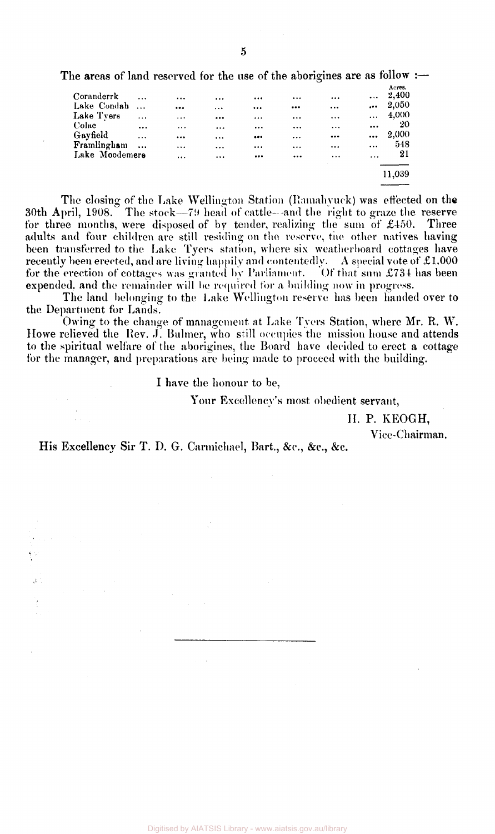The areas of land reserved for the use of the aborigines are as follow : $\rightarrow$ 

|                |           |                         |          |          |          |                         |          | Acres. |
|----------------|-----------|-------------------------|----------|----------|----------|-------------------------|----------|--------|
| Coranderrk     | $\cdots$  | $\cdots$                | $\cdots$ | $\cdots$ |          | $\cdots$                | $\cdots$ | 2,400  |
| Lake Condah    | $\cdots$  | $\bullet\bullet\bullet$ |          |          |          | $\cdots$                | $\cdots$ | 2,050  |
| Lake Tyers     | $\ddotsc$ | $\cdots$                |          |          | $\cdots$ | $\cdots$                | $\cdots$ | 4,000  |
| Colac          | $\cdots$  | $\cdots$                |          | $\cdots$ | $\cdots$ | $\cdots$                |          | 20     |
| Gayfield       | $\cdots$  |                         | $\cdots$ |          |          | $\bullet\bullet\bullet$ | $\cdots$ | 2,000  |
| Framlingham    | $\ddotsc$ | $\cdots$                |          | $\cdots$ | $\cdots$ |                         | $\cdots$ | 548    |
| Lake Moodemere |           | $\cdots$                |          |          |          | $\cdots$                | $\cdots$ | 21     |
|                |           |                         |          |          |          |                         |          |        |
|                |           |                         |          |          |          |                         |          | 11,039 |
|                |           |                         |          |          |          |                         |          |        |

The closing of the Lake Wellington Station (Ramahyuck) was effected on the 30th April, 1908. The stock—79) head of cattle—and the right to graze the reserve for three months, were disposed of by tender, realizing the sum of  $\pounds$ 450. Three adults and four children are still residing on the reserve, the other natives having been transferred to the Lake Tyers station, where six weatherboard cottages have recently been erected, and are living happily and contentedly. A special vote of  $\pounds1.000$ for the erection of cottages was granted by Parliament. Of that sum £734 has been expended, and the remainder will be required for a building now in progress.

The land belonging to the Lake Wellington reserve has been handed over to the Department for Lands.

Owing to the change of management at Lake Tyers Station, where Mr. R. W. Howe relieved the Rev. J. Bulmer, who still occupies the mission house and attends to the spiritual welfare of the aborigines, the Board have decided to erect a cottage for the manager, and preparations are being made to proceed with the building.

I have the honour to be,

Your Excellency's most obedient servant,

II. P. KEOGH,

Vice-Chairman.

His Excellency Sir T. D. G. Carmichael, Bart., &c., &c., &c.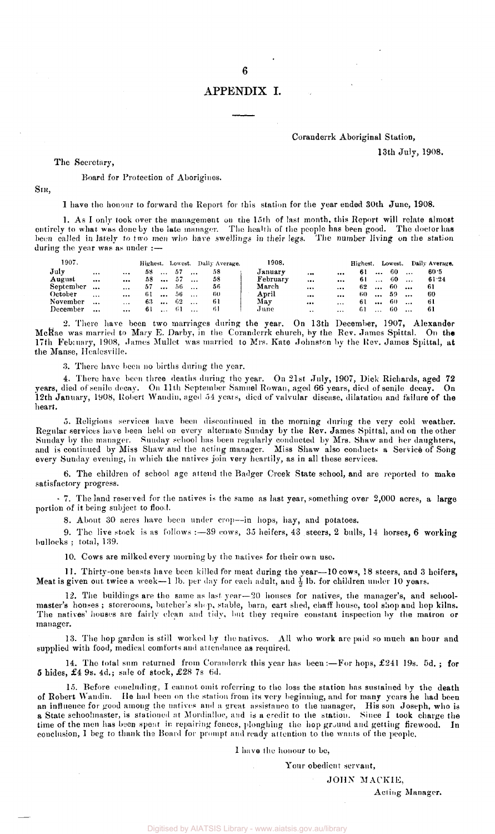#### APPENDIX I.

#### Coranderrk Aboriginal Station,

13th July, 1908.

The Secretary,

#### Board for Protection of Aborigines.

SIR,

I have the honour to forward the Report for this station for the year ended 30th June, 1908.

1. As I only took over the management on the 15th of last month, this Report will relate almost entirely to what was done by the late manager. The health of the people has been good. The doctor has been called in lately to two men who have swellings in their legs. The number living on the station during the year was as under :—

| 1907.     |           |           |     |           |     |           | Highest. Lowest. Daily Average. | 1908.    |           |          | Highest. Lowest. |          |      |                        | Daily Average. |
|-----------|-----------|-----------|-----|-----------|-----|-----------|---------------------------------|----------|-----------|----------|------------------|----------|------|------------------------|----------------|
| July      |           | $\ddotsc$ | 58  | $\cdots$  | 57  | $\cdots$  | 58                              | Januarv  |           |          | 61               | $\cdots$ | -60- | <b><i>Contract</i></b> | 60 5           |
| August    | $\cdots$  | $\cdots$  | 58. | $\sim$    | -57 | $\cdots$  | 58                              | February | $\cdots$  | $\cdots$ | -61              | $\cdots$ | -60- | $\cdots$               | 61.24          |
| September | $\cdots$  | $\cdots$  | 57  | $\ddotsc$ | 56  | $\cdots$  | 56                              | March    |           | $\cdots$ | 62.              | $\cdots$ | -60  |                        | -61            |
| October   | $\cdots$  | $\cdots$  | 61  | $\ddotsc$ | 56  | $\ddotsc$ | -60                             | April    |           | $\cdots$ | -60-             | $\cdots$ | -59  | $\cdots$               | -60            |
| November  | $\ddotsc$ | $\cdots$  | 63  | $\ddotsc$ | 62  | $\cdots$  | -61                             | May      |           | $\cdots$ | 61               | $\cdots$ | -60  | $\cdots$               | -6 I           |
| December  | $\cdots$  | $\cdots$  | 61  | $\cdots$  | 61  | $\ddotsc$ |                                 | June     | $\ddotsc$ | $\cdots$ | -61              | $\cdots$ | 60   | $\cdots$               | 61             |

2. There have been two marriages during the year. On 13th December, 1907, Alexander McRae was married to Mary E. Darby, in the Coranderrk church, by the Rev. James Spittal. On th**e** 17th Feb: uary, 1908, James Mullet was married to Mrs. Kate Johnston by the Rev. James Spittal, at the Manse, Healesville.

3. There have been no births during the year.

4. There have been three deaths during the year. On  $21$ st July, 1907, Dick Richards, aged 72 years, died of senile decay. On 11th September Samuel Rowan, aged 66 years, died of senile decay. On 12th January, 1908, Robert Wandin, aged 54 years, died of valvular disease, dilatation and failure of the heart.

5. Religious services have been discontinued in the morning during the very cold weather. Regular services have been held on every alternate Sunday by the Rev. James Spittal, and on the other Sunday by the manager. Sunday school has been regularly conducted by Mrs. Shaw and her daughters, and is continued by Miss Shaw and the acting manager. Miss Shaw also conducts a Service of Song every Sunday evening, in which the natives join very heartily, as in all these services.

6. The children of school age attend the Badger Creek State school, and are reported to make satisfactory progress.

- 7. The land reserved for the natives is the same as last year, something over 2,000 acres, a large portion of it being subject to flood.

8. About 30 acres have been under crop—in hops, hay, and potatoes.

9. The live stock is as follows: - 39 cows, 35 heifers, 43 steers, 2 bulls, 14 horses, 6 working bullocks ; total, 139.

10. Cows are milked every morning by the natives for their own use.

11. Thirty-one beasts have been killed for meat during the year—10 cows, 18 steers, and 3 heifers, Meat is given out twice a week-1 lb. per day for each adult, and  $\frac{1}{2}$  lb. for children under 10 years.

12. The buildings are the same as last year—20 houses for natives, the manager's, and schoolmaster's houses ; storerooms, butcher's shep, stable, barn, cart shed, chaff house, tool shop and hop kilns. The natives' houses are fairly clean and tidy, but they require constant inspection by the matron or manager.

13. The hop garden is still worked by the natives. All who work are paid so much an hour and supplied with food, medical comforts and attendance as required.

14. The total sum returned from Coranderrk this year has been: $-F$ or hops, £241 19s. 5d.; for  $5$  hides,  $\pounds 4$  9s. 4d.; sale of stock,  $\pounds 28$  7s 6d.

15. Before concluding, I cannot omit referring to the loss the station has sustained by the death of Robert Wandin. He had been on the station from its very beginning, and for many years he had been an influence for good among the natives and a great assistance to the manager, His son Joseph, who is a State schoolmaster, is stationed at Mordialloc, and is a credit to the station. Since I took charge the time of the men has been spent in repairing fences, ploughing the hop ground and getting firewood. In conclusion, I beg to thank the Board for prompt and ready attention to the wants of the people.

1 have the honour to be,

Your obedient servant,

JOHN MACKIE,

Acting Manager.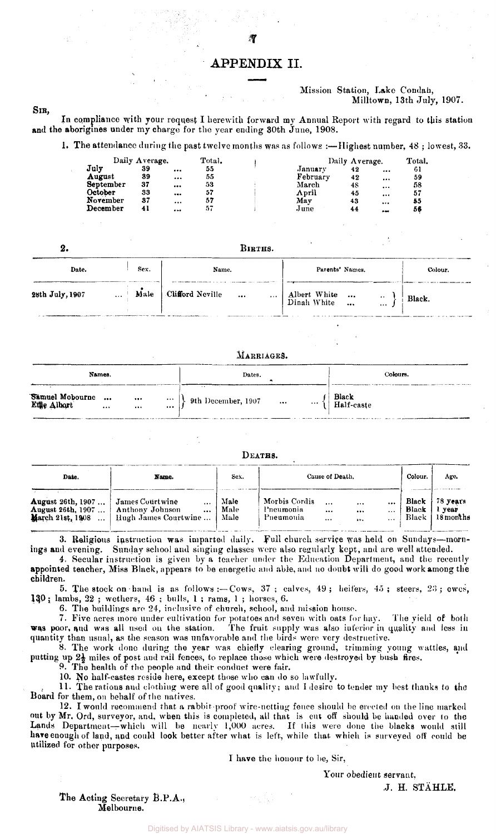#### APPENDIX II.

#### Mission Station, Lake Condah, Milltown, 13th July, 1907.

SIB,

In compliance with your request I herewith forward my Annual Report with regard to this station and the aborigines under my charge for the year ending 30th June, 1908.

1. The attendance during the past twelve months was as follows :—Highest number, 48 ; lowest, 33.

|           | Daily $\Lambda$ verage. |          | Total. |          | Daily Average. |          | Total. |
|-----------|-------------------------|----------|--------|----------|----------------|----------|--------|
| July      | 39                      | $\cdots$ | 55     | January  | 42             | $\cdots$ | 61     |
| August    | 39                      |          | 55     | February | 42             | $\cdots$ | 59     |
| September | 37                      |          | 53     | March    | 48             | $\cdots$ | 58     |
| October   | 33                      | $\cdots$ | 57     | April    | 45             | $\cdots$ | 57     |
| November  | 37                      |          | 57     | Mav      | 43             | $\cdots$ | 55     |
| December  | 41                      |          | 57     | June.    | 44             | --       | 56     |

| 2.              |                  | BIRTHS.                                   |                               |         |  |  |  |  |  |  |  |
|-----------------|------------------|-------------------------------------------|-------------------------------|---------|--|--|--|--|--|--|--|
| Date.           | Sex.             | Name.                                     | Parents' Names.               | Colour. |  |  |  |  |  |  |  |
| 28th July, 1907 | Male<br>$\ldots$ | Clifford Neville<br>$\ddotsc$<br>$\cdots$ | Albert White<br>  Dinah White | Black.  |  |  |  |  |  |  |  |

#### MARRIAGES.

|                                | Names. |              |                                   | Dates.                               | ٠         | Colours.                            |
|--------------------------------|--------|--------------|-----------------------------------|--------------------------------------|-----------|-------------------------------------|
| Samuel Mobourne<br>Ethe Albort |        | $\cdots$<br> | $\bullet$ $\bullet$ $\bullet$<br> | $\left\{\right\}$ 9th December, 1907 | $\ddotsc$ | $\frac{1}{\pi}$ Black<br>Half-caste |

DEATHS.

| Date.                                                                    | Name.                                                                  | Sex.                 | Cause of Death.                                                                       | Colour.      | Age.           |                                         |
|--------------------------------------------------------------------------|------------------------------------------------------------------------|----------------------|---------------------------------------------------------------------------------------|--------------|----------------|-----------------------------------------|
| <b>August 26th, 1907</b><br><b>August 26th, 1907</b><br>March 21st, 1908 | James Courtwine<br>Anthony Johnson<br>$\cdots$<br>Hugh James Courtwine | Male<br>Male<br>Male | Morbis Cordis<br><br>$\cdots$<br>Pneumonia<br><br>$$<br>Pneumonia<br>$\cdots$<br>32.9 | <br>$\cdots$ | Black<br>Black | 78 years<br>l year<br>Black   18 months |

3. Religious instruction was imparted daily, full church service was held on Sundays—mornings and evening. Sunday school and singing classes were also regularly kept, and are well attended.

4. Secular instruction is given by a teacher under the Education Department, and the recently appointed teacher, Miss Black, appears to be energetic and able, and no doubt will do good work among the children.

5. The stock on-hand is as follows:—Cows, 37 ; calves, 49 ; heifers, 45 ; steers, 23 ; ewes, **130;** lambs, 22 ; wethers, 46 ; bulls, 1 ; rams, 1 ; horses, 6.

6. The buildings are 24, inclusive of church, school, and mission house.

7. Five acres more under cultivation for potatoes and seven with oats for hay. The yield of both **was** poor, and was all used on the station. The fruit supply was also inferior in quality and less in quantity than usual, as the season was unfavorable and the birds were very destructive.

8. The work done during the year was chiefly clearing ground, trimming young wattles, and putting up  $2\frac{1}{2}$  miles of post and rail fences, to replace those which were destroyed by bush fires.

9. The health of the people and their conduct were fair.

10. No half-castes reside here, except those who can do so lawfully.

11. The rations and clothing were all of good quality; and I desire to tender my best thanks to the Board for them, on behalf of the natives.

12. I would recommend that a rabbit-proof wire-netting fence should be erected on the line marked out by Mr. Ord, surveyor, and, when this is completed, all that is cut off should be bunded over to the Lands Department—which will be nearly 1,000 acres. If this were done the blacks would still have enough of land, and could look better after what is left, while that which is surveyed off could be Utilized for other purposes.

1 have the honour to be, Sir,

Your obedient servant.

J. H. STAHLE.

The Acting Secretary B.P.A., Melbourne.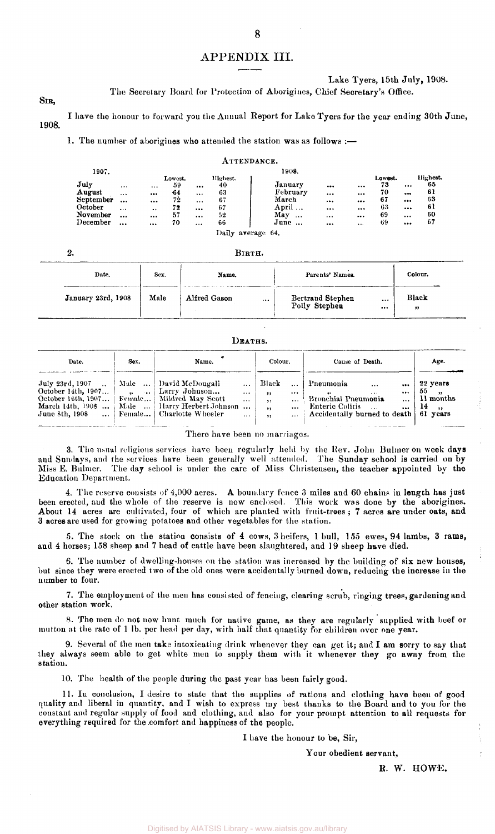### APPENDIX III.

SIR,

Lake Tyers, 15th July, 1908.

The Secretary Board for Protection of Aborigines, Chief Secretary's Office.

1908. I have the honour to forward you the Annual Report for Lake Tyers for the year ending 30th June,

1. The number of aborigines who attended the station was as follows :-

|           |          |           |         |          | ATTENDANCE. |                 |          |          |         |           |          |
|-----------|----------|-----------|---------|----------|-------------|-----------------|----------|----------|---------|-----------|----------|
| 1907.     |          |           |         |          |             | 1908.           |          |          |         |           |          |
|           |          |           | Lowest. |          | llighest.   |                 |          |          | Lowest. |           | Highest. |
| July      | $\cdots$ | $\cdots$  | 59      | $\cdots$ | 40          | January         |          | $\cdots$ | 73      | $\cdots$  | 65       |
| August    | $\cdots$ | $\cdots$  | $-64$   | $\cdots$ | 63          | February        | $\cdots$ | $\cdots$ | 70      | $\bullet$ | 61       |
| September |          |           | 72      |          | 67          | March           |          |          | 67      | $\cdots$  | 63       |
| October   | $\cdots$ | $\bullet$ | 72      | $$       | 67          | April           |          |          | 63      | $\cdots$  | 61       |
| November  |          |           | 57      |          | 52          | May<br>$\cdots$ | $\cdots$ |          | 69      | $\cdots$  | 60       |
| December  |          |           | 70      |          | 66          | $June \ldots$   | $\cdots$ | $\cdots$ | 69      | $\cdots$  | 67       |
|           |          |           |         |          | Daily       | average 64.     |          |          |         |           |          |

2.

BIRTH.

| Date.              | Sex. | Name.                    | Parents' Names.                                   | Colour.    |
|--------------------|------|--------------------------|---------------------------------------------------|------------|
| January 23rd, 1908 | Male | Alfred Gason<br>$\cdots$ | Bertrand Stephen<br>$\cdots$<br>Polly Stephen<br> | Black<br>" |

#### DEATHS.

| Date.                                                                                                                                                                          | Sex. | Name.                                                                         |                                               | Colour.                                  | Cause of Death.                                                                                                                                                                 | Age.                                                    |
|--------------------------------------------------------------------------------------------------------------------------------------------------------------------------------|------|-------------------------------------------------------------------------------|-----------------------------------------------|------------------------------------------|---------------------------------------------------------------------------------------------------------------------------------------------------------------------------------|---------------------------------------------------------|
| July 23rd, 1907 $\ldots$   Male $\ldots$   David McDougali<br>October 14th, 1907 $\vert$ Larry Johnson<br>October 16th, 1907   Female   Mildred May Scott<br>$J$ une 8th, 1908 |      | March 14th, 1908  Male    Harry Herbert Johnson<br>Female   Charlotte Wheeler | $\ddotsc$<br>$\cdots$<br>$\cdots$<br>$\cdots$ | Black<br>, 1, 3<br>$\cdots$<br>51<br>, , | <br>  Pneumonia<br>$\cdots$<br>$\cdots$<br>$\cdots$<br>$\cdots$<br>Bronchial Pneumonia<br>$\ddotsc$<br>Enteric Colitis<br>$\ldots$ Accidentally burned to death $\mid 61$ years | 22 years<br>55,<br>11 months<br>$\dots$   14<br>$\cdot$ |

There have been no marriages.

3. The usual religious services have been regularly held by the Rev. John Bulmer on week days and Sundays, and the services have been generally well attended. The Sunday school is carried on by Miss E. Bulmer. The day school is under the care of Miss Christensen, the teacher appointed by the Education Department.

4. The reserve consists of 4,000 acres. A boundary fence 3 miles and 60 chains in length has just been erected, and the whole of the reserve is now enclosed. This work was done by the aborigines. About 14 acres are cultivated, four of which are planted with fruit-trees ; 7 acres are under oats, and 3 acres are used for growing potatoes and other vegetables for the station.

5. The stock on the station consists of 4 cows, 3 heifers, 1 bull, 155 ewes, 94 lambs, 3 rams, and 4 horses; 158 sheep and 7 head of cattle have been slaughtered, and 19 sheep have died.

6. The number of dwelling-houses on the station was increased by the building of six new houses, but since they were erected two of the old ones were accidentally burned down, reducing the increase in the number to four.

7. The employment of the men has consisted of fencing, clearing scrub, ringing trees, gardening and other station work,

8. The men do not now hunt much for native game, as they are regularly supplied with beef or mutton at the rate of 1 lb. per head per day, with half that quantity for children over one year.

9. Several of the men take intoxicating drink whenever they can get it; and I am sorry to say that they always seem able to get white men to supply them with it whenever they go away from the station.

10. The health of the people during the past year has been fairly good.

11. In conclusion, I desire to state that the supplies of rations and clothing have been of good quality and liberal in quantity, and I wish to express my best thanks to the Board and to you for the constant and regular supply of food and clothing, and also for your prompt attention to all requests for everything required for the comfort and happiness of the people.

I have the honour to be, Sir,

Your obedient servant,

R. W. HOWE.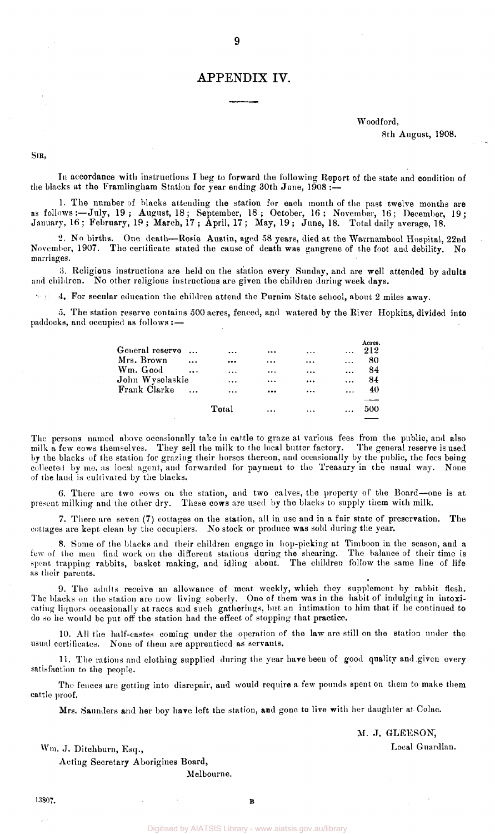## APPENDIX IV.

**9** 

### Woodford,

8th August, 1908.

SIR,

In accordance with instructions I beg to forward the following Report of the state and condition of the blacks at the Framlingham Station for year ending 30th June,  $1908:$ 

1. The number of blacks attending the station for each month of the past twelve months are as follows:—July, 19 ; August, 18; September, 18 ; October, 16 ; November, 16; December, 19; January, 16; February, 19 ; March, 17 ; April, 17; May, 19 ; June, 18. Total daily average, 18.

2. No births. One death—Rosie Austin, aged 58 years, died at the Warrnambool Hospital, 22nd November, 1907. The certificate stated the cause of death was gangrene of the foot and debility. No marriages.

3. Religious instructions are held on the station every Sunday, and are well attended by adults and children. No other religious instructions are given the children during week days.

4. For secular education the children attend the Purnim State school, about 2 miles away.

5. The station reserve contains 500 acres, fenced, and watered by the River Hopkins, divided into paddocks, and occupied as follows : —

| General reserve<br>$\ddotsc$ | $\ddotsc$ |          | .        |           | Acres.<br>212 |
|------------------------------|-----------|----------|----------|-----------|---------------|
| Mrs. Brown<br>$\ddotsc$      |           | $\cdots$ | $\cdots$ |           | -80           |
| Wm. Good<br>$\cdots$         | $\cdots$  | $\cdots$ | $\cdots$ |           | 84            |
| John Wyselaskie              | $\cdots$  |          | $\cdots$ | $\ddotsc$ | 84            |
| Frank Clarke                 | $\cdots$  | $\cdots$ | $\cdots$ | $\cdots$  | 40            |
|                              |           |          |          |           |               |
|                              | Total     |          |          |           | 500           |

The persons named above occasionally take in cattle to graze at various fees from the public, and also milk a few cows themselves. They sell the milk to the local butter factory. The general reserve is used by the blacks of the station for grazing their horses thereon, and occasionally by the public, the fees being collected by me, as local agent, and forwarded for payment to the Treasury in the usual way. None of the land is cultivated by the blacks.

6. There are two cows on the station, and two calves, the property of the Board—one is at present milking and the other dry. These cows are used by the blacks to supply them with milk.

7. There are seven (7) cottages on the station, all in use and in a fair state of preservation. The cottages are kept clean by the occupiers. No stock or produce was sold during the year.

8. Some of the blacks and their children engage in hop-picking at Timboon in the season, and a few of the men find work on the different stations during the shearing. The balance of their time is spent trapping rabbits, basket making, and idling about. The children follow the same line of life as their parents.

9. The adults receive an allowance of meat weekly, which they supplement by rabbit flesh. The blacks on the station are now living soberly. One of them was in the habit of indulging in intoxicating liquors occasionally at races and such gatherings, but an intimation to him that if he continued to do so he would be put off the station had the effect of stopping that practice.

10. All the half-castes coming under the operation of the law are still on the station under the usual certificates. None of them are apprenticed as servants.

11. The rations and clothing supplied during the year have been of good quality and given every satisfaction to the people.

The fences are getting into disrepair, and would require a few pounds spent on them to make them cattle proof.

Mrs. Saunders and her boy have left the station, and gone to live with her daughter at Colac.

M. J. GLEESON,

Local Guardian.

Wm. J. Ditchburn, Esq.,

Acting Secretary Aborigines Board,

Melbourne.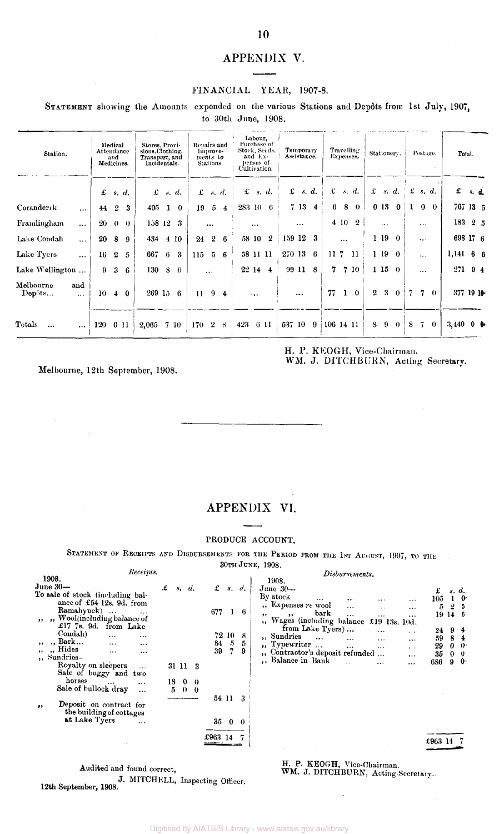## APPENDIX V.

#### FINANCIAL YEAR, 1907-8.

STATEMENT showing the Amounts expended on the various Stations and Depôts from 1st July, 1907, to 30th June, 1908.

| Station.                                 | Attendance | Medical<br>and<br>Medicines. |                    | Stores, Provi-<br>sions, Clothing,<br>Transport, and<br>Incidentals. |                            | Repairs and  | lumove-<br>ments to<br>Stations. |                | Purchase of<br>Stock, Seeds.<br>penses of<br>Cultivation. | Labour.<br>and Ex- |                  |          | Temporary<br>Assistance. |                |           |              | Travelling<br>Expenses. |                | Stationery. |                |   | Postage.       |          |             | Total.      |                |
|------------------------------------------|------------|------------------------------|--------------------|----------------------------------------------------------------------|----------------------------|--------------|----------------------------------|----------------|-----------------------------------------------------------|--------------------|------------------|----------|--------------------------|----------------|-----------|--------------|-------------------------|----------------|-------------|----------------|---|----------------|----------|-------------|-------------|----------------|
|                                          | £          |                              | s. d.              |                                                                      | $x \, s \, d.$             | £            |                                  | s, d           | £                                                         |                    | s. d.            | £        |                          | s. d.          |           |              | $f$ s, d,               |                |             | $\pounds$ s.d. |   | $\pounds$ s.d. |          | £           | $s$ , $d$ , |                |
| Coranderrk<br>$\ddotsc$                  | 44         | $\overline{2}$               | 3                  |                                                                      | $405 \t1 \t0$              | 19           | 5                                | $\overline{4}$ | 283 10 6                                                  |                    |                  |          | $7\,13$                  | $\overline{4}$ | 6         |              | $8 \t0$                 |                |             | 0130           |   | $\bf{0}$       | $\theta$ | 767 13 5    |             |                |
| Framlingham<br>$\ddotsc$                 |            |                              | $20\quad 0\quad 0$ | 158 12 3                                                             |                            |              | $\cdots$                         |                |                                                           | $\cdots$           |                  |          | $\cdots$                 |                |           |              | 4 10 2                  |                | $\cdots$    |                |   | $\ddotsc$      |          | 183 2 5     |             |                |
| Lake Condah<br>$\ddotsc$                 |            | 20 8 9                       |                    | 434 4 10                                                             |                            | 24           | $\mathbf{2}$                     | -6             | 58 10                                                     |                    | $\boldsymbol{2}$ | 159 12 3 |                          |                |           | $\cdots$     |                         |                | 1190        |                |   | $\cdots$       |          | 698 17 6    |             |                |
| Lake Tyers<br>$\cdots$                   | 16         | $\boldsymbol{2}$             | $\sqrt{2}$         | 667 6                                                                | $\boldsymbol{\mathcal{S}}$ | 115          |                                  | $5\quad 6$     | 58 11 11                                                  |                    |                  | 270 13   |                          | 6              | 11.7      |              | -11                     |                | 119         | $\theta$       |   | $\cdots$       |          | $1,141$ 6 6 |             |                |
| Lake Wellington                          |            | $9\quad 3$                   | -6                 | 130 8                                                                | $\mathbf{0}$               |              | $\ddotsc$                        |                | 22 14                                                     |                    | $\overline{4}$   |          | 99 11                    | 8 <sup>8</sup> |           |              | 7 7 10                  |                | 1 15        | $\Omega$       |   | $\cdots$       |          | 271         |             | 0 <sub>4</sub> |
| Melbourne<br>and<br>Depôts<br>$\cdots$   | 10         |                              | $4\quad0$          | $269$ 15 6                                                           |                            | $\mathbf{H}$ |                                  | $9\quad 4$     |                                                           |                    |                  |          |                          |                | 77        | $\mathbf{1}$ | $\theta$                | $2^{\circ}$    | 3           | $\mathbf{0}$   |   | 7              | $\Omega$ | 377 19 10   |             |                |
| $\rm \bf Totals$<br>$\cdots$<br>$\cdots$ | 120        | 011                          |                    | 2,065                                                                | 7 10                       | 170          |                                  | 28             | 423                                                       |                    | 6 11             | 537 10   |                          | 9              | 106 14 11 |              |                         | 8 <sup>1</sup> | 9           | $\Omega$       | 8 | 7.             | $\theta$ | 3,440       |             | 0 <sub>0</sub> |

H. P. KEOGH, Vice-Chairman.

WM. J. DITCHBURN, Acting Secretary.

Melbourne, 12th September, 1908.

## APPENDIX VI.

#### PRODUCE ACCOUNT.

STATEMENT OF RECEIPTS AND DISBURSEMENTS FOR THE PERIOD FROM THE 1ST AUGUST, 1907, TO THE

30TH JUNE, 1908.

| Receipts.                                       |                       |                               | Disbursements.                                                                   |              |
|-------------------------------------------------|-----------------------|-------------------------------|----------------------------------------------------------------------------------|--------------|
| 1908.                                           |                       |                               | 1908.                                                                            |              |
| June $30-$                                      | £<br>s, d.            | £<br>$s$ .<br>$\mathcal{U}$ . | June 30-                                                                         |              |
| To sale of stock (including bal-                |                       |                               | £<br>s. d.<br>By stock                                                           | $\mathbf{0}$ |
| ance of £54 12s, 9d, from                       |                       |                               | 105<br>$\cdots$<br>$\cdots$<br>$\sim$ $\sim$ $\sim$<br>", Expenses re wool       |              |
| Ramahyuck)<br>$\ldots$                          |                       | 677<br>6                      | $2-5$<br>5.<br>$\ddotsc$<br>$\ddot{\phantom{a}}$<br>$\cdots$<br>bark             |              |
| ", Wool(including balance of                    |                       |                               | 19 14 6<br>$, \,$<br>,,<br>$\cdots$<br>$\cdots$<br><br>Wages (including balance  |              |
| £17 7s. 9d. from Lake                           |                       |                               | £19 13s. 10d.<br>, 1.<br>from Lake Tyers)                                        |              |
| Condah)<br>$\cdots$<br>$\cdots$                 |                       | 72 10<br>8                    | 94<br>24<br>$\cdots$<br>$\cdots$<br>"Sundries                                    |              |
| $,$ Bark<br>$\cdots$<br>$\cdots$                |                       | $\sqrt{2}$<br>84<br>5         | 59<br>8<br>$\cdots$<br>$\cdots$<br>$\cdots$<br>$\cdots$                          |              |
| " Hides<br>$\cdots$<br>$, \, \cdot$<br>$\cdots$ |                       | 39<br>7<br>9                  | $\mu$ , Typewriter $\mu$ .<br>$\bf{0}$<br>29<br>$\cdots$<br>$\cdots$<br>$\cdots$ | - 0          |
| ,, Sundries-                                    |                       |                               | ", Contractor's deposit refunded<br>35<br>$0 \quad 0$<br>                        |              |
| Royalty on sleepers<br>$\cdots$                 | 31 11 3               |                               | ,, Balance in Bank<br>9<br>6S6<br>$\cdots$                                       | $\mathbf{0}$ |
| Sale of buggy and two                           |                       |                               |                                                                                  |              |
| horses<br>$\cdots$<br>$\cdots$                  | 18<br>$\bf{0}$<br>- 0 |                               |                                                                                  |              |
| Sale of bullock dray                            | $\theta$<br>$\Omega$  |                               |                                                                                  |              |
| $\cdots$                                        |                       | 54 11<br>-3                   |                                                                                  |              |
| Deposit on contract for<br>$\cdots$             |                       |                               |                                                                                  |              |
| the building of cottages                        |                       |                               |                                                                                  |              |
| at Lake Tyers                                   |                       | 35<br>$0\quad 0$              |                                                                                  |              |
| $\cdots$                                        |                       |                               |                                                                                  |              |
|                                                 |                       | £963 14                       |                                                                                  |              |
|                                                 |                       |                               |                                                                                  |              |
|                                                 |                       |                               |                                                                                  |              |

12th September, 1908. J. MITCHELL, Inspecting Officer. Audited and found correct,

## H. P. KEOGH, Vice-Chairman.

WM. J. DITCHBURN, Acting-Secretary.

Digitised by AIATSIS Library - www.aiatsis.gov.au/library